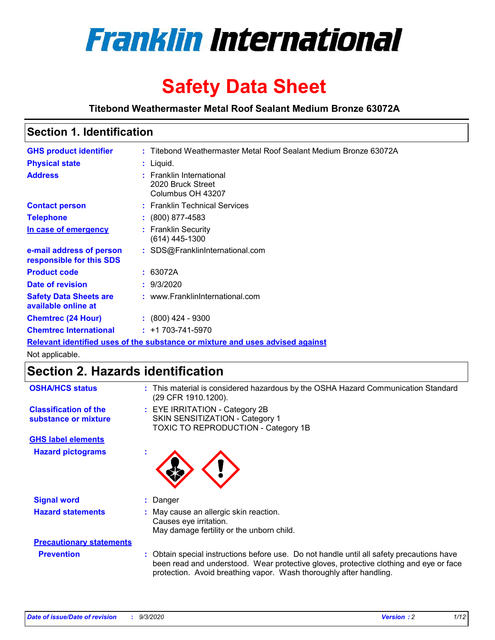

# **Safety Data Sheet**

**Titebond Weathermaster Metal Roof Sealant Medium Bronze 63072A**

## **Section 1. Identification**

| <b>GHS product identifier</b>                        | : Titebond Weathermaster Metal Roof Sealant Medium Bronze 63072A              |
|------------------------------------------------------|-------------------------------------------------------------------------------|
| <b>Physical state</b>                                | : Liquid.                                                                     |
| <b>Address</b>                                       | : Franklin International<br>2020 Bruck Street<br>Columbus OH 43207            |
| <b>Contact person</b>                                | : Franklin Technical Services                                                 |
| <b>Telephone</b>                                     | $\colon$ (800) 877-4583                                                       |
| In case of emergency                                 | : Franklin Security<br>(614) 445-1300                                         |
| e-mail address of person<br>responsible for this SDS | : SDS@FranklinInternational.com                                               |
| <b>Product code</b>                                  | : 63072A                                                                      |
| Date of revision                                     | : 9/3/2020                                                                    |
| <b>Safety Data Sheets are</b><br>available online at | : www.FranklinInternational.com                                               |
| <b>Chemtrec (24 Hour)</b>                            | $: (800)$ 424 - 9300                                                          |
| <b>Chemtrec International</b>                        | $: +1703 - 741 - 5970$                                                        |
|                                                      | Relevant identified uses of the substance or mixture and uses advised against |

Not applicable.

## **Section 2. Hazards identification**

| <b>OSHA/HCS status</b>                               |    | : This material is considered hazardous by the OSHA Hazard Communication Standard<br>(29 CFR 1910.1200).                                                                                                                                                 |  |  |
|------------------------------------------------------|----|----------------------------------------------------------------------------------------------------------------------------------------------------------------------------------------------------------------------------------------------------------|--|--|
| <b>Classification of the</b><br>substance or mixture |    | : EYE IRRITATION - Category 2B<br>SKIN SENSITIZATION - Category 1<br>TOXIC TO REPRODUCTION - Category 1B                                                                                                                                                 |  |  |
| <b>GHS label elements</b>                            |    |                                                                                                                                                                                                                                                          |  |  |
| <b>Hazard pictograms</b>                             |    |                                                                                                                                                                                                                                                          |  |  |
| <b>Signal word</b>                                   | t. | Danger                                                                                                                                                                                                                                                   |  |  |
| <b>Hazard statements</b>                             |    | May cause an allergic skin reaction.<br>Causes eye irritation.<br>May damage fertility or the unborn child.                                                                                                                                              |  |  |
| <b>Precautionary statements</b>                      |    |                                                                                                                                                                                                                                                          |  |  |
| <b>Prevention</b>                                    |    | : Obtain special instructions before use. Do not handle until all safety precautions have<br>been read and understood. Wear protective gloves, protective clothing and eye or face<br>protection. Avoid breathing vapor. Wash thoroughly after handling. |  |  |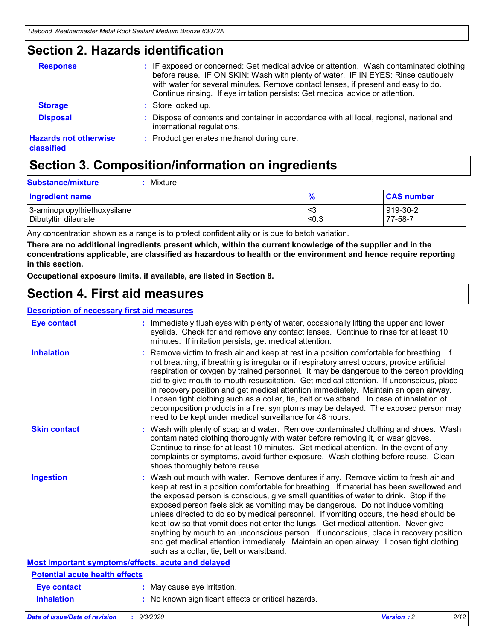### **Section 2. Hazards identification**

| <b>Response</b>                            | : IF exposed or concerned: Get medical advice or attention. Wash contaminated clothing<br>before reuse. IF ON SKIN: Wash with plenty of water. IF IN EYES: Rinse cautiously<br>with water for several minutes. Remove contact lenses, if present and easy to do.<br>Continue rinsing. If eye irritation persists: Get medical advice or attention. |
|--------------------------------------------|----------------------------------------------------------------------------------------------------------------------------------------------------------------------------------------------------------------------------------------------------------------------------------------------------------------------------------------------------|
| <b>Storage</b>                             | : Store locked up.                                                                                                                                                                                                                                                                                                                                 |
| <b>Disposal</b>                            | : Dispose of contents and container in accordance with all local, regional, national and<br>international regulations.                                                                                                                                                                                                                             |
| <b>Hazards not otherwise</b><br>classified | : Product generates methanol during cure.                                                                                                                                                                                                                                                                                                          |

## **Section 3. Composition/information on ingredients**

| <b>Ingredient name</b>       | $\bullet$<br>70 | <b>CAS number</b> |
|------------------------------|-----------------|-------------------|
| 3-aminopropyltriethoxysilane | צ≥              | 919-30-2          |
| Dibutyltin dilaurate         | ≤0.3            | 77-58-7           |

Any concentration shown as a range is to protect confidentiality or is due to batch variation.

**There are no additional ingredients present which, within the current knowledge of the supplier and in the concentrations applicable, are classified as hazardous to health or the environment and hence require reporting in this section.**

**Occupational exposure limits, if available, are listed in Section 8.**

### **Section 4. First aid measures**

| <b>Description of necessary first aid measures</b> |                                                                                                                                                                                                                                                                                                                                                                                                                                                                                                                                                                                                                                                                                                                                                                           |  |  |  |
|----------------------------------------------------|---------------------------------------------------------------------------------------------------------------------------------------------------------------------------------------------------------------------------------------------------------------------------------------------------------------------------------------------------------------------------------------------------------------------------------------------------------------------------------------------------------------------------------------------------------------------------------------------------------------------------------------------------------------------------------------------------------------------------------------------------------------------------|--|--|--|
| <b>Eye contact</b>                                 | : Immediately flush eyes with plenty of water, occasionally lifting the upper and lower<br>eyelids. Check for and remove any contact lenses. Continue to rinse for at least 10<br>minutes. If irritation persists, get medical attention.                                                                                                                                                                                                                                                                                                                                                                                                                                                                                                                                 |  |  |  |
| <b>Inhalation</b>                                  | : Remove victim to fresh air and keep at rest in a position comfortable for breathing. If<br>not breathing, if breathing is irregular or if respiratory arrest occurs, provide artificial<br>respiration or oxygen by trained personnel. It may be dangerous to the person providing<br>aid to give mouth-to-mouth resuscitation. Get medical attention. If unconscious, place<br>in recovery position and get medical attention immediately. Maintain an open airway.<br>Loosen tight clothing such as a collar, tie, belt or waistband. In case of inhalation of<br>decomposition products in a fire, symptoms may be delayed. The exposed person may<br>need to be kept under medical surveillance for 48 hours.                                                       |  |  |  |
| <b>Skin contact</b>                                | : Wash with plenty of soap and water. Remove contaminated clothing and shoes. Wash<br>contaminated clothing thoroughly with water before removing it, or wear gloves.<br>Continue to rinse for at least 10 minutes. Get medical attention. In the event of any<br>complaints or symptoms, avoid further exposure. Wash clothing before reuse. Clean<br>shoes thoroughly before reuse.                                                                                                                                                                                                                                                                                                                                                                                     |  |  |  |
| <b>Ingestion</b>                                   | : Wash out mouth with water. Remove dentures if any. Remove victim to fresh air and<br>keep at rest in a position comfortable for breathing. If material has been swallowed and<br>the exposed person is conscious, give small quantities of water to drink. Stop if the<br>exposed person feels sick as vomiting may be dangerous. Do not induce vomiting<br>unless directed to do so by medical personnel. If vomiting occurs, the head should be<br>kept low so that vomit does not enter the lungs. Get medical attention. Never give<br>anything by mouth to an unconscious person. If unconscious, place in recovery position<br>and get medical attention immediately. Maintain an open airway. Loosen tight clothing<br>such as a collar, tie, belt or waistband. |  |  |  |
| Most important symptoms/effects, acute and delayed |                                                                                                                                                                                                                                                                                                                                                                                                                                                                                                                                                                                                                                                                                                                                                                           |  |  |  |
| <b>Potential acute health effects</b>              |                                                                                                                                                                                                                                                                                                                                                                                                                                                                                                                                                                                                                                                                                                                                                                           |  |  |  |
| <b>Eye contact</b>                                 | : May cause eye irritation.                                                                                                                                                                                                                                                                                                                                                                                                                                                                                                                                                                                                                                                                                                                                               |  |  |  |
| <b>Inhalation</b>                                  | : No known significant effects or critical hazards.                                                                                                                                                                                                                                                                                                                                                                                                                                                                                                                                                                                                                                                                                                                       |  |  |  |
|                                                    |                                                                                                                                                                                                                                                                                                                                                                                                                                                                                                                                                                                                                                                                                                                                                                           |  |  |  |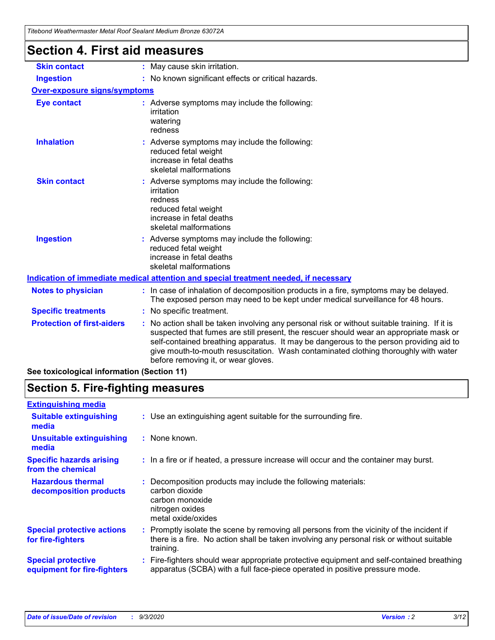# **Section 4. First aid measures**

| : May cause skin irritation.                                                                                                                                                                                                                                                                                                                                                                                    |  |  |  |  |
|-----------------------------------------------------------------------------------------------------------------------------------------------------------------------------------------------------------------------------------------------------------------------------------------------------------------------------------------------------------------------------------------------------------------|--|--|--|--|
| : No known significant effects or critical hazards.                                                                                                                                                                                                                                                                                                                                                             |  |  |  |  |
| <b>Over-exposure signs/symptoms</b>                                                                                                                                                                                                                                                                                                                                                                             |  |  |  |  |
| : Adverse symptoms may include the following:<br>irritation<br>watering<br>redness                                                                                                                                                                                                                                                                                                                              |  |  |  |  |
| : Adverse symptoms may include the following:<br>reduced fetal weight<br>increase in fetal deaths<br>skeletal malformations                                                                                                                                                                                                                                                                                     |  |  |  |  |
| : Adverse symptoms may include the following:<br>irritation<br>redness<br>reduced fetal weight<br>increase in fetal deaths<br>skeletal malformations                                                                                                                                                                                                                                                            |  |  |  |  |
| : Adverse symptoms may include the following:<br>reduced fetal weight<br>increase in fetal deaths<br>skeletal malformations                                                                                                                                                                                                                                                                                     |  |  |  |  |
| <u>Indication of immediate medical attention and special treatment needed, if necessary</u>                                                                                                                                                                                                                                                                                                                     |  |  |  |  |
| : In case of inhalation of decomposition products in a fire, symptoms may be delayed.<br>The exposed person may need to be kept under medical surveillance for 48 hours.                                                                                                                                                                                                                                        |  |  |  |  |
| : No specific treatment.                                                                                                                                                                                                                                                                                                                                                                                        |  |  |  |  |
| : No action shall be taken involving any personal risk or without suitable training. If it is<br>suspected that fumes are still present, the rescuer should wear an appropriate mask or<br>self-contained breathing apparatus. It may be dangerous to the person providing aid to<br>give mouth-to-mouth resuscitation. Wash contaminated clothing thoroughly with water<br>before removing it, or wear gloves. |  |  |  |  |
|                                                                                                                                                                                                                                                                                                                                                                                                                 |  |  |  |  |

**See toxicological information (Section 11)**

## **Section 5. Fire-fighting measures**

| <b>Extinguishing media</b>                               |                                                                                                                                                                                                   |
|----------------------------------------------------------|---------------------------------------------------------------------------------------------------------------------------------------------------------------------------------------------------|
| <b>Suitable extinguishing</b><br>media                   | : Use an extinguishing agent suitable for the surrounding fire.                                                                                                                                   |
| <b>Unsuitable extinguishing</b><br>media                 | : None known.                                                                                                                                                                                     |
| <b>Specific hazards arising</b><br>from the chemical     | : In a fire or if heated, a pressure increase will occur and the container may burst.                                                                                                             |
| <b>Hazardous thermal</b><br>decomposition products       | Decomposition products may include the following materials:<br>carbon dioxide<br>carbon monoxide<br>nitrogen oxides<br>metal oxide/oxides                                                         |
| <b>Special protective actions</b><br>for fire-fighters   | Promptly isolate the scene by removing all persons from the vicinity of the incident if<br>there is a fire. No action shall be taken involving any personal risk or without suitable<br>training. |
| <b>Special protective</b><br>equipment for fire-fighters | Fire-fighters should wear appropriate protective equipment and self-contained breathing<br>apparatus (SCBA) with a full face-piece operated in positive pressure mode.                            |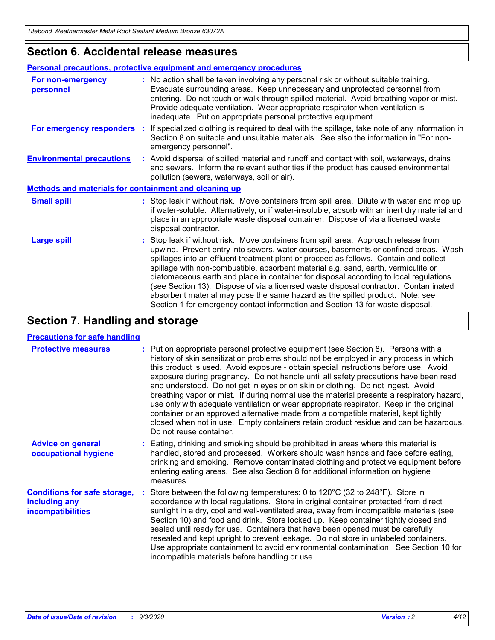### **Section 6. Accidental release measures**

|                                                              | <b>Personal precautions, protective equipment and emergency procedures</b>                                                                                                                                                                                                                                                                                                                                                                                                                                                                                                                                                                                                                                   |  |  |  |
|--------------------------------------------------------------|--------------------------------------------------------------------------------------------------------------------------------------------------------------------------------------------------------------------------------------------------------------------------------------------------------------------------------------------------------------------------------------------------------------------------------------------------------------------------------------------------------------------------------------------------------------------------------------------------------------------------------------------------------------------------------------------------------------|--|--|--|
| For non-emergency<br>personnel                               | : No action shall be taken involving any personal risk or without suitable training.<br>Evacuate surrounding areas. Keep unnecessary and unprotected personnel from<br>entering. Do not touch or walk through spilled material. Avoid breathing vapor or mist.<br>Provide adequate ventilation. Wear appropriate respirator when ventilation is<br>inadequate. Put on appropriate personal protective equipment.                                                                                                                                                                                                                                                                                             |  |  |  |
| For emergency responders                                     | : If specialized clothing is required to deal with the spillage, take note of any information in<br>Section 8 on suitable and unsuitable materials. See also the information in "For non-<br>emergency personnel".                                                                                                                                                                                                                                                                                                                                                                                                                                                                                           |  |  |  |
| <b>Environmental precautions</b>                             | : Avoid dispersal of spilled material and runoff and contact with soil, waterways, drains<br>and sewers. Inform the relevant authorities if the product has caused environmental<br>pollution (sewers, waterways, soil or air).                                                                                                                                                                                                                                                                                                                                                                                                                                                                              |  |  |  |
| <b>Methods and materials for containment and cleaning up</b> |                                                                                                                                                                                                                                                                                                                                                                                                                                                                                                                                                                                                                                                                                                              |  |  |  |
| <b>Small spill</b>                                           | : Stop leak if without risk. Move containers from spill area. Dilute with water and mop up<br>if water-soluble. Alternatively, or if water-insoluble, absorb with an inert dry material and<br>place in an appropriate waste disposal container. Dispose of via a licensed waste<br>disposal contractor.                                                                                                                                                                                                                                                                                                                                                                                                     |  |  |  |
| <b>Large spill</b>                                           | : Stop leak if without risk. Move containers from spill area. Approach release from<br>upwind. Prevent entry into sewers, water courses, basements or confined areas. Wash<br>spillages into an effluent treatment plant or proceed as follows. Contain and collect<br>spillage with non-combustible, absorbent material e.g. sand, earth, vermiculite or<br>diatomaceous earth and place in container for disposal according to local regulations<br>(see Section 13). Dispose of via a licensed waste disposal contractor. Contaminated<br>absorbent material may pose the same hazard as the spilled product. Note: see<br>Section 1 for emergency contact information and Section 13 for waste disposal. |  |  |  |

## **Section 7. Handling and storage**

#### **Precautions for safe handling**

| <b>Protective measures</b>                                                       | : Put on appropriate personal protective equipment (see Section 8). Persons with a<br>history of skin sensitization problems should not be employed in any process in which<br>this product is used. Avoid exposure - obtain special instructions before use. Avoid<br>exposure during pregnancy. Do not handle until all safety precautions have been read<br>and understood. Do not get in eyes or on skin or clothing. Do not ingest. Avoid<br>breathing vapor or mist. If during normal use the material presents a respiratory hazard,<br>use only with adequate ventilation or wear appropriate respirator. Keep in the original<br>container or an approved alternative made from a compatible material, kept tightly<br>closed when not in use. Empty containers retain product residue and can be hazardous.<br>Do not reuse container. |
|----------------------------------------------------------------------------------|--------------------------------------------------------------------------------------------------------------------------------------------------------------------------------------------------------------------------------------------------------------------------------------------------------------------------------------------------------------------------------------------------------------------------------------------------------------------------------------------------------------------------------------------------------------------------------------------------------------------------------------------------------------------------------------------------------------------------------------------------------------------------------------------------------------------------------------------------|
| <b>Advice on general</b><br>occupational hygiene                                 | : Eating, drinking and smoking should be prohibited in areas where this material is<br>handled, stored and processed. Workers should wash hands and face before eating,<br>drinking and smoking. Remove contaminated clothing and protective equipment before<br>entering eating areas. See also Section 8 for additional information on hygiene<br>measures.                                                                                                                                                                                                                                                                                                                                                                                                                                                                                    |
| <b>Conditions for safe storage,</b><br>including any<br><i>incompatibilities</i> | Store between the following temperatures: 0 to 120°C (32 to 248°F). Store in<br>accordance with local regulations. Store in original container protected from direct<br>sunlight in a dry, cool and well-ventilated area, away from incompatible materials (see<br>Section 10) and food and drink. Store locked up. Keep container tightly closed and<br>sealed until ready for use. Containers that have been opened must be carefully<br>resealed and kept upright to prevent leakage. Do not store in unlabeled containers.<br>Use appropriate containment to avoid environmental contamination. See Section 10 for<br>incompatible materials before handling or use.                                                                                                                                                                         |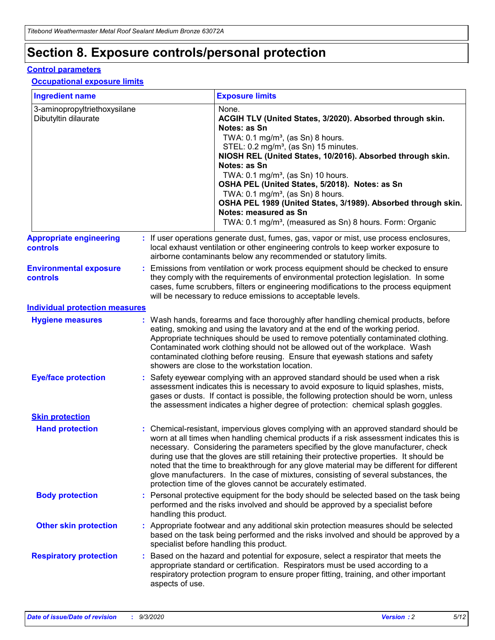## **Section 8. Exposure controls/personal protection**

#### **Control parameters**

#### **Occupational exposure limits**

| <b>Ingredient name</b>                               |    |                                                                                                                                                                                                                                                                                                                                                     | <b>Exposure limits</b>                                                                                                                                                                                                                                                                                                                                                                                                                                                                                                                                                                                                 |  |
|------------------------------------------------------|----|-----------------------------------------------------------------------------------------------------------------------------------------------------------------------------------------------------------------------------------------------------------------------------------------------------------------------------------------------------|------------------------------------------------------------------------------------------------------------------------------------------------------------------------------------------------------------------------------------------------------------------------------------------------------------------------------------------------------------------------------------------------------------------------------------------------------------------------------------------------------------------------------------------------------------------------------------------------------------------------|--|
| 3-aminopropyltriethoxysilane<br>Dibutyltin dilaurate |    |                                                                                                                                                                                                                                                                                                                                                     | None.<br>ACGIH TLV (United States, 3/2020). Absorbed through skin.<br>Notes: as Sn<br>TWA: $0.1 \text{ mg/m}^3$ , (as Sn) 8 hours.<br>STEL: 0.2 mg/m <sup>3</sup> , (as Sn) 15 minutes.<br>NIOSH REL (United States, 10/2016). Absorbed through skin.<br>Notes: as Sn<br>TWA: 0.1 mg/m <sup>3</sup> , (as Sn) 10 hours.<br>OSHA PEL (United States, 5/2018). Notes: as Sn<br>TWA: 0.1 mg/m <sup>3</sup> , (as Sn) 8 hours.<br>OSHA PEL 1989 (United States, 3/1989). Absorbed through skin.<br>Notes: measured as Sn<br>TWA: 0.1 mg/m <sup>3</sup> , (measured as Sn) 8 hours. Form: Organic                           |  |
| <b>Appropriate engineering</b><br>controls           |    |                                                                                                                                                                                                                                                                                                                                                     | : If user operations generate dust, fumes, gas, vapor or mist, use process enclosures,<br>local exhaust ventilation or other engineering controls to keep worker exposure to<br>airborne contaminants below any recommended or statutory limits.                                                                                                                                                                                                                                                                                                                                                                       |  |
| <b>Environmental exposure</b><br>controls            |    |                                                                                                                                                                                                                                                                                                                                                     | Emissions from ventilation or work process equipment should be checked to ensure<br>they comply with the requirements of environmental protection legislation. In some<br>cases, fume scrubbers, filters or engineering modifications to the process equipment<br>will be necessary to reduce emissions to acceptable levels.                                                                                                                                                                                                                                                                                          |  |
| <b>Individual protection measures</b>                |    |                                                                                                                                                                                                                                                                                                                                                     |                                                                                                                                                                                                                                                                                                                                                                                                                                                                                                                                                                                                                        |  |
| <b>Hygiene measures</b>                              |    |                                                                                                                                                                                                                                                                                                                                                     | : Wash hands, forearms and face thoroughly after handling chemical products, before<br>eating, smoking and using the lavatory and at the end of the working period.<br>Appropriate techniques should be used to remove potentially contaminated clothing.<br>Contaminated work clothing should not be allowed out of the workplace. Wash<br>contaminated clothing before reusing. Ensure that eyewash stations and safety<br>showers are close to the workstation location.                                                                                                                                            |  |
| <b>Eye/face protection</b>                           |    | Safety eyewear complying with an approved standard should be used when a risk<br>assessment indicates this is necessary to avoid exposure to liquid splashes, mists,<br>gases or dusts. If contact is possible, the following protection should be worn, unless<br>the assessment indicates a higher degree of protection: chemical splash goggles. |                                                                                                                                                                                                                                                                                                                                                                                                                                                                                                                                                                                                                        |  |
| <b>Skin protection</b>                               |    |                                                                                                                                                                                                                                                                                                                                                     |                                                                                                                                                                                                                                                                                                                                                                                                                                                                                                                                                                                                                        |  |
| <b>Hand protection</b>                               |    |                                                                                                                                                                                                                                                                                                                                                     | : Chemical-resistant, impervious gloves complying with an approved standard should be<br>worn at all times when handling chemical products if a risk assessment indicates this is<br>necessary. Considering the parameters specified by the glove manufacturer, check<br>during use that the gloves are still retaining their protective properties. It should be<br>noted that the time to breakthrough for any glove material may be different for different<br>glove manufacturers. In the case of mixtures, consisting of several substances, the<br>protection time of the gloves cannot be accurately estimated. |  |
| <b>Body protection</b>                               |    | handling this product.                                                                                                                                                                                                                                                                                                                              | Personal protective equipment for the body should be selected based on the task being<br>performed and the risks involved and should be approved by a specialist before                                                                                                                                                                                                                                                                                                                                                                                                                                                |  |
| <b>Other skin protection</b>                         |    |                                                                                                                                                                                                                                                                                                                                                     | : Appropriate footwear and any additional skin protection measures should be selected<br>based on the task being performed and the risks involved and should be approved by a<br>specialist before handling this product.                                                                                                                                                                                                                                                                                                                                                                                              |  |
| <b>Respiratory protection</b>                        | ÷. | aspects of use.                                                                                                                                                                                                                                                                                                                                     | Based on the hazard and potential for exposure, select a respirator that meets the<br>appropriate standard or certification. Respirators must be used according to a<br>respiratory protection program to ensure proper fitting, training, and other important                                                                                                                                                                                                                                                                                                                                                         |  |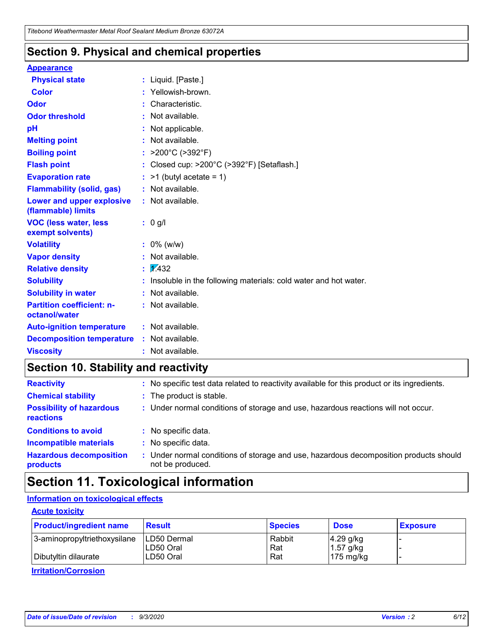### **Section 9. Physical and chemical properties**

#### **Appearance**

| <b>Physical state</b>                             | : Liquid. [Paste.]                                              |
|---------------------------------------------------|-----------------------------------------------------------------|
| <b>Color</b>                                      | Yellowish-brown.                                                |
| Odor                                              | : Characteristic.                                               |
| <b>Odor threshold</b>                             | : Not available.                                                |
| рH                                                | : Not applicable.                                               |
| <b>Melting point</b>                              | : Not available.                                                |
| <b>Boiling point</b>                              | >200°C (>392°F)                                                 |
| <b>Flash point</b>                                | : Closed cup: >200°C (>392°F) [Setaflash.]                      |
| <b>Evaporation rate</b>                           | $:$ >1 (butyl acetate = 1)                                      |
| <b>Flammability (solid, gas)</b>                  | : Not available.                                                |
| Lower and upper explosive<br>(flammable) limits   | $:$ Not available.                                              |
| <b>VOC (less water, less</b><br>exempt solvents)  | $: 0$ g/l                                                       |
| <b>Volatility</b>                                 | $: 0\%$ (w/w)                                                   |
| <b>Vapor density</b>                              | : Not available.                                                |
| <b>Relative density</b>                           | $\mathbf{1}$ $\mathbf{\sqrt{432}}$                              |
| <b>Solubility</b>                                 | Insoluble in the following materials: cold water and hot water. |
| <b>Solubility in water</b>                        | : Not available.                                                |
| <b>Partition coefficient: n-</b><br>octanol/water | : Not available.                                                |
| <b>Auto-ignition temperature</b>                  | $:$ Not available.                                              |
| <b>Decomposition temperature</b>                  | : Not available.                                                |
| <b>Viscosity</b>                                  | : Not available.                                                |

### **Section 10. Stability and reactivity**

| <b>Reactivity</b>                            |    | : No specific test data related to reactivity available for this product or its ingredients.            |
|----------------------------------------------|----|---------------------------------------------------------------------------------------------------------|
| <b>Chemical stability</b>                    |    | : The product is stable.                                                                                |
| <b>Possibility of hazardous</b><br>reactions |    | : Under normal conditions of storage and use, hazardous reactions will not occur.                       |
| <b>Conditions to avoid</b>                   |    | : No specific data.                                                                                     |
| <b>Incompatible materials</b>                |    | : No specific data.                                                                                     |
| <b>Hazardous decomposition</b><br>products   | ÷. | Under normal conditions of storage and use, hazardous decomposition products should<br>not be produced. |

## **Section 11. Toxicological information**

#### **Information on toxicological effects**

#### **Acute toxicity**

| <b>Product/ingredient name</b> | <b>Result</b>           | <b>Species</b> | <b>Dose</b>                | <b>Exposure</b> |
|--------------------------------|-------------------------|----------------|----------------------------|-----------------|
| 3-aminopropyltriethoxysilane   | <b>ILD50 Dermal</b>     | Rabbit         | 4.29 g/kg                  |                 |
| Dibutyltin dilaurate           | ILD50 Oral<br>LD50 Oral | Rat<br>Rat     | $1.57$ g/kg<br>175 $mg/kg$ |                 |
|                                |                         |                |                            |                 |

**Irritation/Corrosion**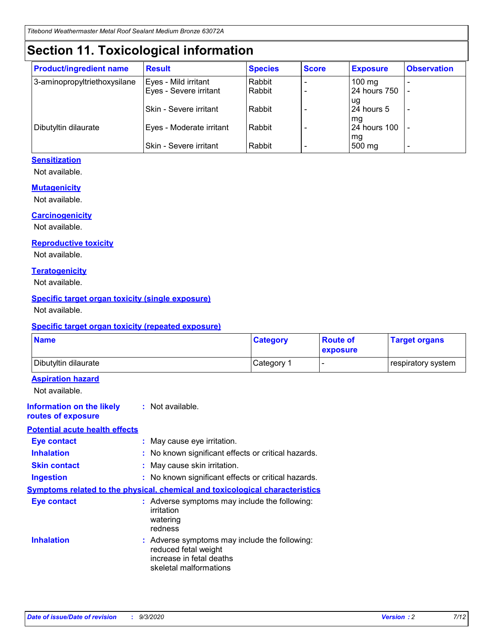## **Section 11. Toxicological information**

| <b>Product/ingredient name</b> | <b>Result</b>            | <b>Species</b> | <b>Score</b> | <b>Exposure</b>    | <b>Observation</b> |
|--------------------------------|--------------------------|----------------|--------------|--------------------|--------------------|
| 3-aminopropyltriethoxysilane   | Eyes - Mild irritant     | Rabbit         |              | $100$ mg           |                    |
|                                | Eyes - Severe irritant   | Rabbit         |              | 24 hours 750       |                    |
|                                |                          |                |              | ug                 |                    |
|                                | Skin - Severe irritant   | Rabbit         |              | 24 hours 5         | -                  |
| Dibutyltin dilaurate           | Eyes - Moderate irritant | Rabbit         |              | mg<br>24 hours 100 |                    |
|                                |                          |                |              | mg                 |                    |
|                                | Skin - Severe irritant   | Rabbit         |              | 500 mg             | -                  |

#### **Sensitization**

Not available.

#### **Mutagenicity**

Not available.

#### **Carcinogenicity**

Not available.

#### **Reproductive toxicity**

Not available.

#### **Teratogenicity**

Not available.

#### **Specific target organ toxicity (single exposure)**

Not available.

#### **Specific target organ toxicity (repeated exposure)**

| <b>Name</b>                                                                         |                                                                            | <b>Category</b>                                     | <b>Route of</b><br>exposure | <b>Target organs</b> |  |  |
|-------------------------------------------------------------------------------------|----------------------------------------------------------------------------|-----------------------------------------------------|-----------------------------|----------------------|--|--|
| Dibutyltin dilaurate                                                                |                                                                            | Category 1                                          | -                           | respiratory system   |  |  |
| <b>Aspiration hazard</b><br>Not available.                                          |                                                                            |                                                     |                             |                      |  |  |
| <b>Information on the likely</b><br>routes of exposure                              | : Not available.                                                           |                                                     |                             |                      |  |  |
| <b>Potential acute health effects</b>                                               |                                                                            |                                                     |                             |                      |  |  |
| <b>Eye contact</b>                                                                  | : May cause eye irritation.                                                |                                                     |                             |                      |  |  |
| <b>Inhalation</b>                                                                   |                                                                            | : No known significant effects or critical hazards. |                             |                      |  |  |
| <b>Skin contact</b>                                                                 |                                                                            | : May cause skin irritation.                        |                             |                      |  |  |
| <b>Ingestion</b>                                                                    |                                                                            | : No known significant effects or critical hazards. |                             |                      |  |  |
| <b>Symptoms related to the physical, chemical and toxicological characteristics</b> |                                                                            |                                                     |                             |                      |  |  |
| <b>Eye contact</b>                                                                  | irritation<br>watering<br>redness                                          | : Adverse symptoms may include the following:       |                             |                      |  |  |
| <b>Inhalation</b>                                                                   | reduced fetal weight<br>increase in fetal deaths<br>skeletal malformations | : Adverse symptoms may include the following:       |                             |                      |  |  |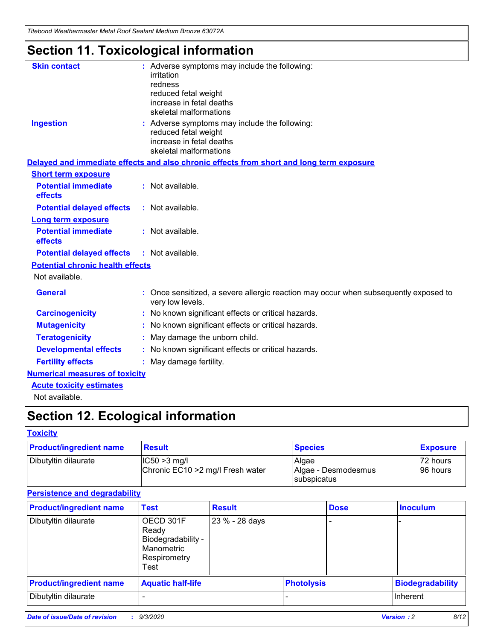*Titebond Weathermaster Metal Roof Sealant Medium Bronze 63072A*

## **Section 11. Toxicological information**

| <b>Skin contact</b>                     |            | : Adverse symptoms may include the following:                                                                               |  |  |  |  |
|-----------------------------------------|------------|-----------------------------------------------------------------------------------------------------------------------------|--|--|--|--|
|                                         | irritation |                                                                                                                             |  |  |  |  |
|                                         | redness    | reduced fetal weight                                                                                                        |  |  |  |  |
|                                         |            | increase in fetal deaths                                                                                                    |  |  |  |  |
|                                         |            | skeletal malformations                                                                                                      |  |  |  |  |
| <b>Ingestion</b>                        |            | : Adverse symptoms may include the following:<br>reduced fetal weight<br>increase in fetal deaths<br>skeletal malformations |  |  |  |  |
|                                         |            | Delayed and immediate effects and also chronic effects from short and long term exposure                                    |  |  |  |  |
| <b>Short term exposure</b>              |            |                                                                                                                             |  |  |  |  |
| <b>Potential immediate</b><br>effects   |            | : Not available.                                                                                                            |  |  |  |  |
| <b>Potential delayed effects</b>        |            | : Not available.                                                                                                            |  |  |  |  |
| <b>Long term exposure</b>               |            |                                                                                                                             |  |  |  |  |
| <b>Potential immediate</b><br>effects   |            | : Not available.                                                                                                            |  |  |  |  |
| <b>Potential delayed effects</b>        |            | : Not available.                                                                                                            |  |  |  |  |
| <b>Potential chronic health effects</b> |            |                                                                                                                             |  |  |  |  |
| Not available.                          |            |                                                                                                                             |  |  |  |  |
| <b>General</b>                          |            | : Once sensitized, a severe allergic reaction may occur when subsequently exposed to<br>very low levels.                    |  |  |  |  |
| <b>Carcinogenicity</b>                  |            | No known significant effects or critical hazards.                                                                           |  |  |  |  |
| <b>Mutagenicity</b>                     |            | : No known significant effects or critical hazards.                                                                         |  |  |  |  |
| <b>Teratogenicity</b>                   |            | May damage the unborn child.                                                                                                |  |  |  |  |
| <b>Developmental effects</b>            |            | : No known significant effects or critical hazards.                                                                         |  |  |  |  |
| <b>Fertility effects</b>                |            | : May damage fertility.                                                                                                     |  |  |  |  |
| <b>Numerical measures of toxicity</b>   |            |                                                                                                                             |  |  |  |  |
| <b>Acute toxicity estimates</b>         |            |                                                                                                                             |  |  |  |  |
| Not ovoilable                           |            |                                                                                                                             |  |  |  |  |

Not available.

## **Section 12. Ecological information**

#### **Toxicity**

| <b>Product/ingredient name</b> | <b>Result</b>                                       | <b>Species</b>               | <b>Exposure</b>       |
|--------------------------------|-----------------------------------------------------|------------------------------|-----------------------|
| Dibutyltin dilaurate           | $ CC50>3$ mg/l<br>Chronic EC10 > 2 mg/l Fresh water | Algae<br>Algae - Desmodesmus | 72 hours<br>196 hours |
|                                |                                                     | <b>I</b> subspicatus         |                       |

#### **Persistence and degradability**

| <b>Product/ingredient name</b> | <b>Test</b>                                                                    | <b>Result</b>  |                   | <b>Dose</b> | <b>Inoculum</b>         |
|--------------------------------|--------------------------------------------------------------------------------|----------------|-------------------|-------------|-------------------------|
| Dibutyltin dilaurate           | OECD 301F<br>Ready<br>Biodegradability -<br>Manometric<br>Respirometry<br>Test | 23 % - 28 days |                   |             |                         |
| <b>Product/ingredient name</b> | <b>Aquatic half-life</b>                                                       |                | <b>Photolysis</b> |             | <b>Biodegradability</b> |
| Dibutyltin dilaurate           |                                                                                |                |                   |             | <b>Inherent</b>         |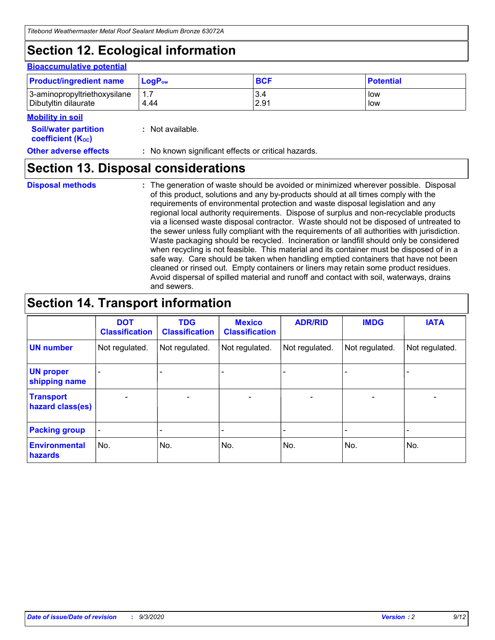## **Section 12. Ecological information**

#### **Bioaccumulative potential**

| <b>Product/ingredient name</b> | $LoaPow$ | <b>BCF</b> | <b>Potential</b> |
|--------------------------------|----------|------------|------------------|
| 3-aminopropyltriethoxysilane   | 1.7      | 3.4        | low              |
| Dibutyltin dilaurate           | 4.44     | 2.91       | low              |

#### **Mobility in soil**

| <b>INIUDIIILY III SUIL</b>                                    |                                                     |
|---------------------------------------------------------------|-----------------------------------------------------|
| <b>Soil/water partition</b><br>coefficient (K <sub>oc</sub> ) | : Not available.                                    |
| <b>Other adverse effects</b>                                  | : No known significant effects or critical hazards. |

### **Section 13. Disposal considerations**

**Disposal methods :**

The generation of waste should be avoided or minimized wherever possible. Disposal of this product, solutions and any by-products should at all times comply with the requirements of environmental protection and waste disposal legislation and any regional local authority requirements. Dispose of surplus and non-recyclable products via a licensed waste disposal contractor. Waste should not be disposed of untreated to the sewer unless fully compliant with the requirements of all authorities with jurisdiction. Waste packaging should be recycled. Incineration or landfill should only be considered when recycling is not feasible. This material and its container must be disposed of in a safe way. Care should be taken when handling emptied containers that have not been cleaned or rinsed out. Empty containers or liners may retain some product residues. Avoid dispersal of spilled material and runoff and contact with soil, waterways, drains and sewers.

### **Section 14. Transport information**

|                                      | <b>DOT</b><br><b>Classification</b> | <b>TDG</b><br><b>Classification</b> | <b>Mexico</b><br><b>Classification</b> | <b>ADR/RID</b>           | <b>IMDG</b>              | <b>IATA</b>    |
|--------------------------------------|-------------------------------------|-------------------------------------|----------------------------------------|--------------------------|--------------------------|----------------|
| <b>UN number</b>                     | Not regulated.                      | Not regulated.                      | Not regulated.                         | Not regulated.           | Not regulated.           | Not regulated. |
| <b>UN proper</b><br>shipping name    |                                     |                                     |                                        |                          |                          |                |
| <b>Transport</b><br>hazard class(es) |                                     | $\overline{\phantom{0}}$            | $\qquad \qquad \blacksquare$           | $\overline{\phantom{0}}$ | $\overline{\phantom{0}}$ |                |
| <b>Packing group</b>                 |                                     |                                     |                                        |                          |                          |                |
| <b>Environmental</b><br>hazards      | No.                                 | No.                                 | No.                                    | No.                      | No.                      | No.            |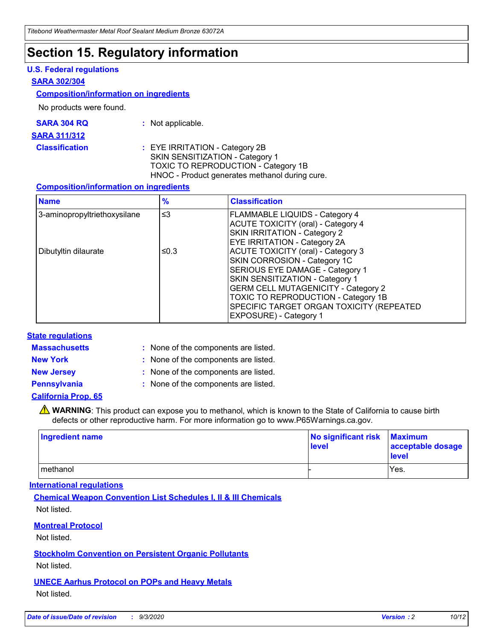## **Section 15. Regulatory information**

#### **U.S. Federal regulations**

#### **SARA 302/304**

#### **Composition/information on ingredients**

No products were found.

| SARA 304 RQ | Not applicable. |
|-------------|-----------------|
|             |                 |

#### **SARA 311/312**

#### **Classification :** EYE IRRITATION - Category 2B SKIN SENSITIZATION - Category 1 TOXIC TO REPRODUCTION - Category 1B HNOC - Product generates methanol during cure.

#### **Composition/information on ingredients**

| <b>Name</b>                  | $\frac{9}{6}$ | <b>Classification</b>                                                                                                                                                                                                                                                                                      |
|------------------------------|---------------|------------------------------------------------------------------------------------------------------------------------------------------------------------------------------------------------------------------------------------------------------------------------------------------------------------|
| 3-aminopropyltriethoxysilane | $\leq$ 3      | <b>FLAMMABLE LIQUIDS - Category 4</b><br><b>ACUTE TOXICITY (oral) - Category 4</b><br><b>SKIN IRRITATION - Category 2</b><br>EYE IRRITATION - Category 2A                                                                                                                                                  |
| Dibutyltin dilaurate         | ≤0.3          | <b>ACUTE TOXICITY (oral) - Category 3</b><br>SKIN CORROSION - Category 1C<br>SERIOUS EYE DAMAGE - Category 1<br>SKIN SENSITIZATION - Category 1<br><b>GERM CELL MUTAGENICITY - Category 2</b><br>TOXIC TO REPRODUCTION - Category 1B<br>SPECIFIC TARGET ORGAN TOXICITY (REPEATED<br>EXPOSURE) - Category 1 |

#### **State regulations**

**Massachusetts :**

: None of the components are listed.

**New York :** None of the components are listed. **New Jersey :** None of the components are listed.

**Pennsylvania :** None of the components are listed.

#### **California Prop. 65**

WARNING: This product can expose you to methanol, which is known to the State of California to cause birth defects or other reproductive harm. For more information go to www.P65Warnings.ca.gov.

| Ingredient name | No significant risk Maximum<br>level | acceptable dosage<br><b>level</b> |
|-----------------|--------------------------------------|-----------------------------------|
| I methanol      |                                      | Yes.                              |

#### **International regulations**

**Chemical Weapon Convention List Schedules I, II & III Chemicals** Not listed.

#### **Montreal Protocol**

Not listed.

**Stockholm Convention on Persistent Organic Pollutants**

Not listed.

#### **UNECE Aarhus Protocol on POPs and Heavy Metals** Not listed.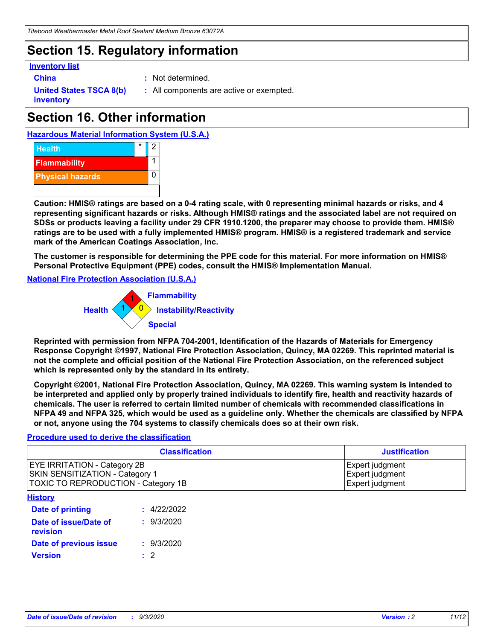## **Section 15. Regulatory information**

#### **Inventory list**

- 
- **China :** Not determined.

**United States TSCA 8(b) inventory**

**:** All components are active or exempted.

## **Section 16. Other information**





**Caution: HMIS® ratings are based on a 0-4 rating scale, with 0 representing minimal hazards or risks, and 4 representing significant hazards or risks. Although HMIS® ratings and the associated label are not required on SDSs or products leaving a facility under 29 CFR 1910.1200, the preparer may choose to provide them. HMIS® ratings are to be used with a fully implemented HMIS® program. HMIS® is a registered trademark and service mark of the American Coatings Association, Inc.**

**The customer is responsible for determining the PPE code for this material. For more information on HMIS® Personal Protective Equipment (PPE) codes, consult the HMIS® Implementation Manual.**

**National Fire Protection Association (U.S.A.)**



**Reprinted with permission from NFPA 704-2001, Identification of the Hazards of Materials for Emergency Response Copyright ©1997, National Fire Protection Association, Quincy, MA 02269. This reprinted material is not the complete and official position of the National Fire Protection Association, on the referenced subject which is represented only by the standard in its entirety.**

**Copyright ©2001, National Fire Protection Association, Quincy, MA 02269. This warning system is intended to be interpreted and applied only by properly trained individuals to identify fire, health and reactivity hazards of chemicals. The user is referred to certain limited number of chemicals with recommended classifications in NFPA 49 and NFPA 325, which would be used as a guideline only. Whether the chemicals are classified by NFPA or not, anyone using the 704 systems to classify chemicals does so at their own risk.**

#### **Procedure used to derive the classification**

| <b>Classification</b>                                                                                                | <b>Justification</b>                                  |
|----------------------------------------------------------------------------------------------------------------------|-------------------------------------------------------|
| <b>EYE IRRITATION - Category 2B</b><br><b>SKIN SENSITIZATION - Category 1</b><br>TOXIC TO REPRODUCTION - Category 1B | Expert judgment<br>Expert judgment<br>Expert judgment |
| <b>History</b>                                                                                                       |                                                       |

| .                                 |             |
|-----------------------------------|-------------|
| <b>Date of printing</b>           | : 4/22/2022 |
| Date of issue/Date of<br>revision | : 9/3/2020  |
| Date of previous issue            | : 9/3/2020  |
| <b>Version</b>                    | $\cdot$ 2   |
|                                   |             |